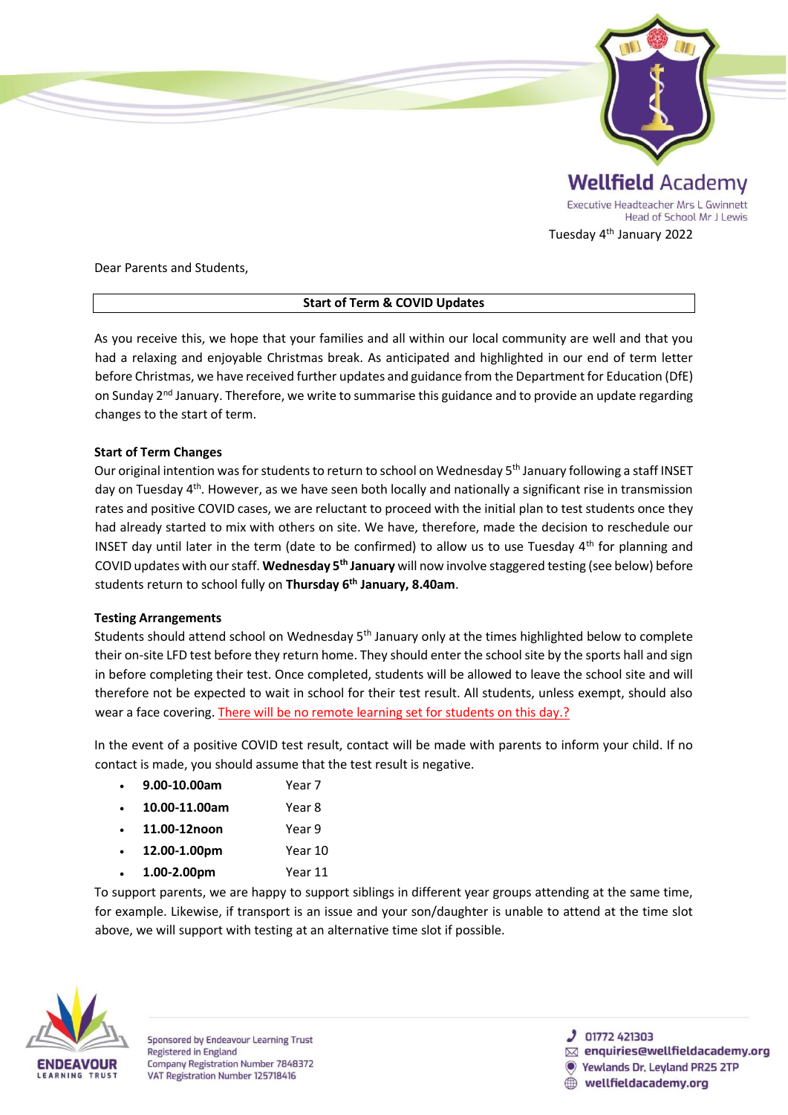

### Dear Parents and Students,

# **Start of Term & COVID Updates**

As you receive this, we hope that your families and all within our local community are well and that you had a relaxing and enjoyable Christmas break. As anticipated and highlighted in our end of term letter before Christmas, we have received further updates and guidance from the Department for Education (DfE) on Sunday 2<sup>nd</sup> January. Therefore, we write to summarise this guidance and to provide an update regarding changes to the start of term.

# **Start of Term Changes**

Our original intention was for students to return to school on Wednesday 5<sup>th</sup> January following a staff INSET day on Tuesday 4th. However, as we have seen both locally and nationally a significant rise in transmission rates and positive COVID cases, we are reluctant to proceed with the initial plan to test students once they had already started to mix with others on site. We have, therefore, made the decision to reschedule our INSET day until later in the term (date to be confirmed) to allow us to use Tuesday  $4<sup>th</sup>$  for planning and COVID updates with our staff. **Wednesday 5th January** will now involve staggered testing (see below) before students return to school fully on **Thursday 6th January, 8.40am**.

# **Testing Arrangements**

Students should attend school on Wednesday 5th January only at the times highlighted below to complete their on-site LFD test before they return home. They should enter the school site by the sports hall and sign in before completing their test. Once completed, students will be allowed to leave the school site and will therefore not be expected to wait in school for their test result. All students, unless exempt, should also wear a face covering. There will be no remote learning set for students on this day.?

In the event of a positive COVID test result, contact will be made with parents to inform your child. If no contact is made, you should assume that the test result is negative.

| 9.00-10.00am  | Year 7  |
|---------------|---------|
| 10.00-11.00am | Year 8  |
| 11.00-12noon  | Year 9  |
| 12.00-1.00pm  | Year 10 |
| 1.00-2.00pm   | Year 11 |

To support parents, we are happy to support siblings in different year groups attending at the same time, for example. Likewise, if transport is an issue and your son/daughter is unable to attend at the time slot above, we will support with testing at an alternative time slot if possible.



Sponsored by Endeavour Learning Trust **Registered in England** Company Registration Number 7848372 VAT Registration Number 125718416

 $J$  01772 421303

- $\boxtimes$  enquiries@wellfieldacademy.org
- **Yewlands Dr. Levland PR25 2TP** 
	- wellfieldacademy.org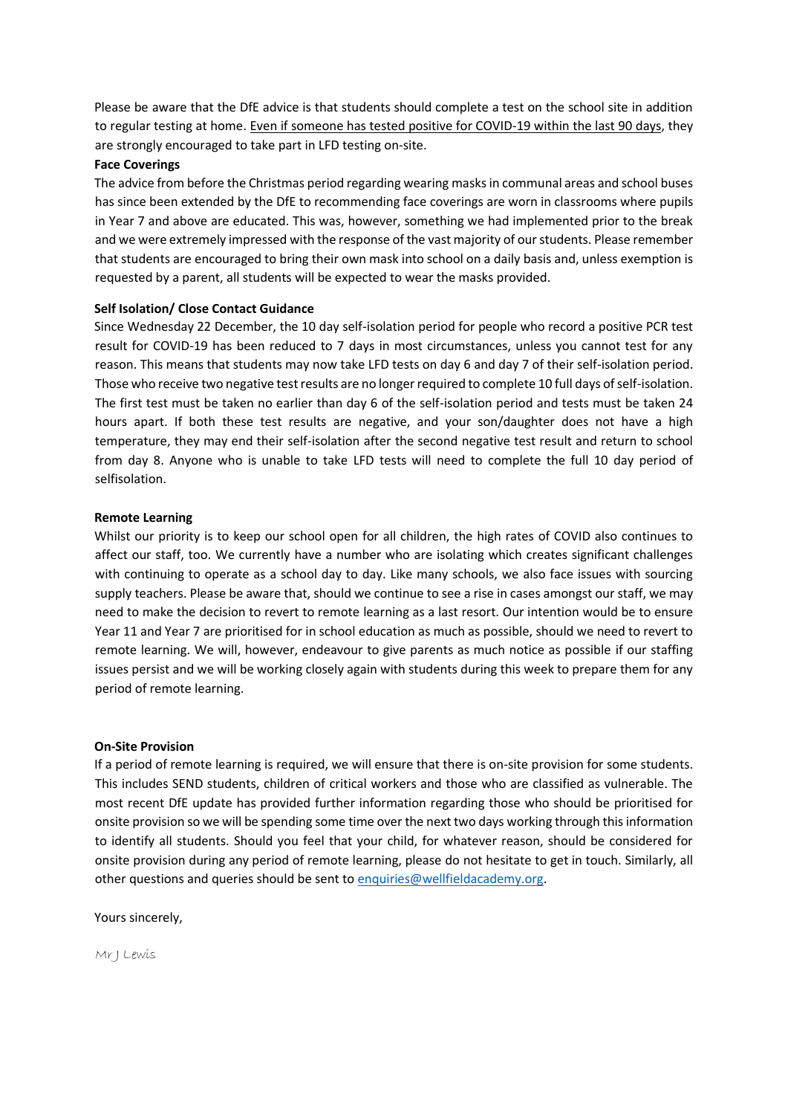Please be aware that the DfE advice is that students should complete a test on the school site in addition to regular testing at home. Even if someone has tested positive for COVID-19 within the last 90 days, they are strongly encouraged to take part in LFD testing on-site.

### **Face Coverings**

The advice from before the Christmas period regarding wearing masks in communal areas and school buses has since been extended by the DfE to recommending face coverings are worn in classrooms where pupils in Year 7 and above are educated. This was, however, something we had implemented prior to the break and we were extremely impressed with the response of the vast majority of our students. Please remember that students are encouraged to bring their own mask into school on a daily basis and, unless exemption is requested by a parent, all students will be expected to wear the masks provided.

# **Self Isolation/ Close Contact Guidance**

Since Wednesday 22 December, the 10 day self-isolation period for people who record a positive PCR test result for COVID-19 has been reduced to 7 days in most circumstances, unless you cannot test for any reason. This means that students may now take LFD tests on day 6 and day 7 of their self-isolation period. Those who receive two negative test results are no longer required to complete 10 full days of self-isolation. The first test must be taken no earlier than day 6 of the self-isolation period and tests must be taken 24 hours apart. If both these test results are negative, and your son/daughter does not have a high temperature, they may end their self-isolation after the second negative test result and return to school from day 8. Anyone who is unable to take LFD tests will need to complete the full 10 day period of selfisolation.

# **Remote Learning**

Whilst our priority is to keep our school open for all children, the high rates of COVID also continues to affect our staff, too. We currently have a number who are isolating which creates significant challenges with continuing to operate as a school day to day. Like many schools, we also face issues with sourcing supply teachers. Please be aware that, should we continue to see a rise in cases amongst our staff, we may need to make the decision to revert to remote learning as a last resort. Our intention would be to ensure Year 11 and Year 7 are prioritised for in school education as much as possible, should we need to revert to remote learning. We will, however, endeavour to give parents as much notice as possible if our staffing issues persist and we will be working closely again with students during this week to prepare them for any period of remote learning.

### **On-Site Provision**

If a period of remote learning is required, we will ensure that there is on-site provision for some students. This includes SEND students, children of critical workers and those who are classified as vulnerable. The most recent DfE update has provided further information regarding those who should be prioritised for onsite provision so we will be spending some time over the next two days working through this information to identify all students. Should you feel that your child, for whatever reason, should be considered for onsite provision during any period of remote learning, please do not hesitate to get in touch. Similarly, all other questions and queries should be sent to enquiries@wellfieldacademy.org.

Yours sincerely,

Mr J Lewis